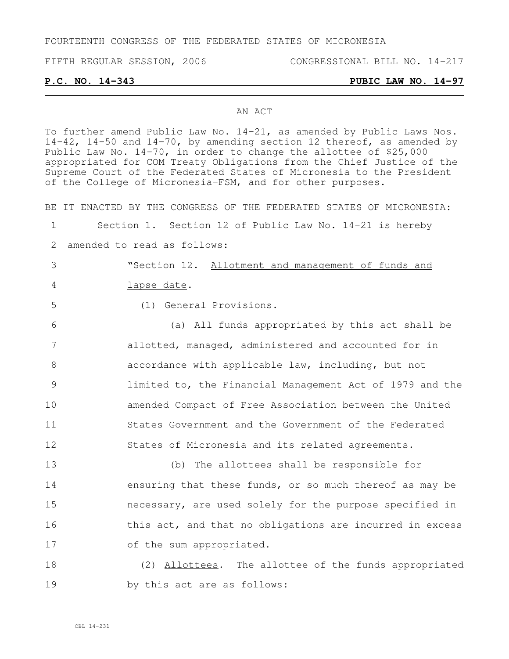FOURTEENTH CONGRESS OF THE FEDERATED STATES OF MICRONESIA

FIFTH REGULAR SESSION, 2006 CONGRESSIONAL BILL NO. 14-217

## **P.C. NO. 14-343 PUBIC LAW NO. 14-97**

## AN ACT

To further amend Public Law No. 14-21, as amended by Public Laws Nos. 14-42, 14-50 and 14-70, by amending section 12 thereof, as amended by Public Law No. 14-70, in order to change the allottee of \$25,000 appropriated for COM Treaty Obligations from the Chief Justice of the Supreme Court of the Federated States of Micronesia to the President of the College of Micronesia-FSM, and for other purposes.

BE IT ENACTED BY THE CONGRESS OF THE FEDERATED STATES OF MICRONESIA:

1 Section 1. Section 12 of Public Law No. 14-21 is hereby

2 amended to read as follows:

3 "Section 12. Allotment and management of funds and

4 lapse date.

5 (1) General Provisions.

 (a) All funds appropriated by this act shall be allotted, managed, administered and accounted for in accordance with applicable law, including, but not limited to, the Financial Management Act of 1979 and the amended Compact of Free Association between the United States Government and the Government of the Federated States of Micronesia and its related agreements.

 (b) The allottees shall be responsible for **Example 14** ensuring that these funds, or so much thereof as may be necessary, are used solely for the purpose specified in 16 this act, and that no obligations are incurred in excess of the sum appropriated.

18 (2) Allottees. The allottee of the funds appropriated 19 by this act are as follows: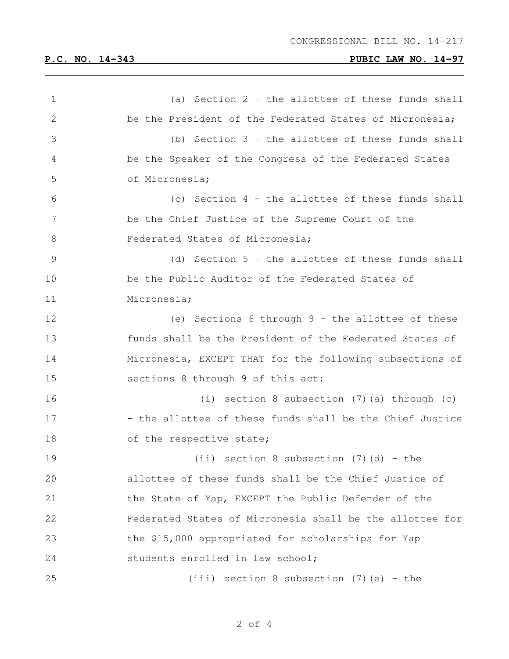## **P.C. NO. 14-343 PUBIC LAW NO. 14-97**

 (a) Section 2 – the allottee of these funds shall be the President of the Federated States of Micronesia; (b) Section 3 – the allottee of these funds shall be the Speaker of the Congress of the Federated States of Micronesia; (c) Section 4 – the allottee of these funds shall be the Chief Justice of the Supreme Court of the 8 Federated States of Micronesia; (d) Section 5 – the allottee of these funds shall be the Public Auditor of the Federated States of Micronesia; (e) Sections 6 through 9 – the allottee of these funds shall be the President of the Federated States of Micronesia, EXCEPT THAT for the following subsections of sections 8 through 9 of this act: (i) section 8 subsection (7)(a) through (c) – the allottee of these funds shall be the Chief Justice 18 of the respective state; (ii) section 8 subsection (7)(d) - the allottee of these funds shall be the Chief Justice of 21 the State of Yap, EXCEPT the Public Defender of the Federated States of Micronesia shall be the allottee for the \$15,000 appropriated for scholarships for Yap students enrolled in law school; (iii) section 8 subsection (7)(e) – the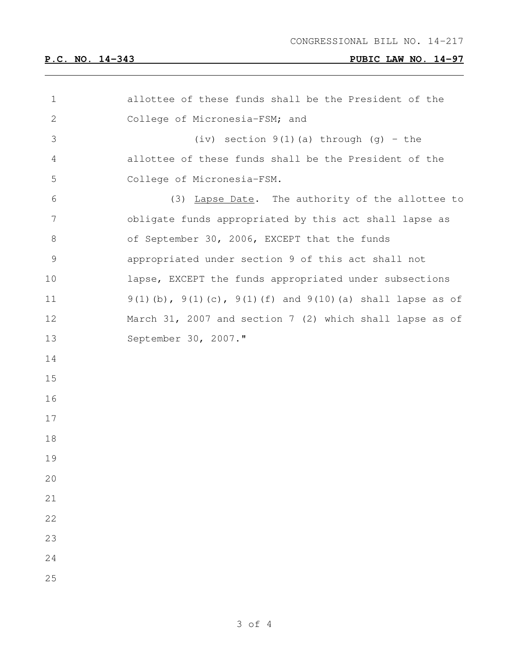<u> 1989 - Johann Barn, mars eta bainar eta idazlea (</u>

| $\mathbf 1$   | allottee of these funds shall be the President of the                |
|---------------|----------------------------------------------------------------------|
| $\sqrt{2}$    | College of Micronesia-FSM; and                                       |
| 3             | (iv) section $9(1)$ (a) through (g) - the                            |
| 4             | allottee of these funds shall be the President of the                |
| 5             | College of Micronesia-FSM.                                           |
| 6             | (3) Lapse Date. The authority of the allottee to                     |
| 7             | obligate funds appropriated by this act shall lapse as               |
| $\,8\,$       | of September 30, 2006, EXCEPT that the funds                         |
| $\mathcal{G}$ | appropriated under section 9 of this act shall not                   |
| 10            | lapse, EXCEPT the funds appropriated under subsections               |
| 11            | $9(1)$ (b), $9(1)$ (c), $9(1)$ (f) and $9(10)$ (a) shall lapse as of |
| 12            | March 31, 2007 and section 7 (2) which shall lapse as of             |
| 13            | September 30, 2007."                                                 |
| 14            |                                                                      |
| 15            |                                                                      |
| 16            |                                                                      |
| 17            |                                                                      |
| 18            |                                                                      |
| 19            |                                                                      |
| 20            |                                                                      |
| 21            |                                                                      |
| 22            |                                                                      |
| 23            |                                                                      |
| 24            |                                                                      |
| 25            |                                                                      |